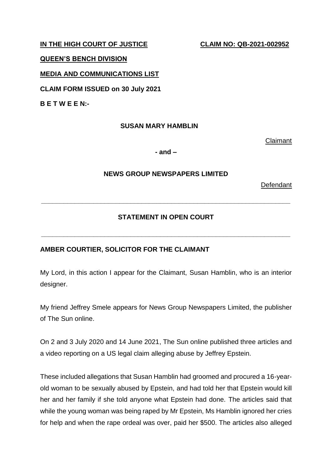IN THE HIGH COURT OF JUSTICE CLAIM NO: QB-2021-002952

#### **QUEEN'S BENCH DIVISION**

### **MEDIA AND COMMUNICATIONS LIST**

**CLAIM FORM ISSUED on 30 July 2021**

**B E T W E E N:-**

#### **SUSAN MARY HAMBLIN**

Claimant

**- and –**

## **NEWS GROUP NEWSPAPERS LIMITED**

**Defendant** 

## **STATEMENT IN OPEN COURT**

**\_\_\_\_\_\_\_\_\_\_\_\_\_\_\_\_\_\_\_\_\_\_\_\_\_\_\_\_\_\_\_\_\_\_\_\_\_\_\_\_\_\_\_\_\_\_\_\_\_\_\_\_\_\_\_\_\_\_\_\_\_\_\_\_\_\_\_**

**\_\_\_\_\_\_\_\_\_\_\_\_\_\_\_\_\_\_\_\_\_\_\_\_\_\_\_\_\_\_\_\_\_\_\_\_\_\_\_\_\_\_\_\_\_\_\_\_\_\_\_\_\_\_\_\_\_\_\_\_\_\_\_\_\_\_\_**

# **AMBER COURTIER, SOLICITOR FOR THE CLAIMANT**

My Lord, in this action I appear for the Claimant, Susan Hamblin, who is an interior designer.

My friend Jeffrey Smele appears for News Group Newspapers Limited, the publisher of The Sun online.

On 2 and 3 July 2020 and 14 June 2021, The Sun online published three articles and a video reporting on a US legal claim alleging abuse by Jeffrey Epstein.

These included allegations that Susan Hamblin had groomed and procured a 16-yearold woman to be sexually abused by Epstein, and had told her that Epstein would kill her and her family if she told anyone what Epstein had done. The articles said that while the young woman was being raped by Mr Epstein, Ms Hamblin ignored her cries for help and when the rape ordeal was over, paid her \$500. The articles also alleged